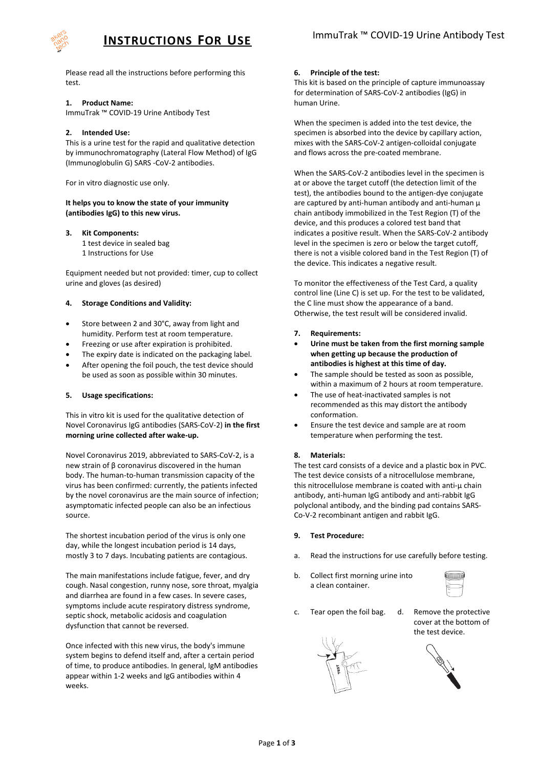

Please read all the instructions before performing this test.

## **1. Product Name:**

ImmuTrak ™ COVID-19 Urine Antibody Test

# **2. Intended Use:**

This is a urine test for the rapid and qualitative detection by immunochromatography (Lateral Flow Method) of IgG (Immunoglobulin G) SARS -CoV-2 antibodies.

For in vitro diagnostic use only.

### **It helps you to know the state of your immunity (antibodies IgG) to this new virus.**

# **3. Kit Components:**

1 test device in sealed bag

1 Instructions for Use

Equipment needed but not provided: timer, cup to collect urine and gloves (as desired)

# **4. Storage Conditions and Validity:**

- Store between 2 and 30°C, away from light and humidity. Perform test at room temperature.
- Freezing or use after expiration is prohibited.
- The expiry date is indicated on the packaging label.
- After opening the foil pouch, the test device should be used as soon as possible within 30 minutes.

## **5. Usage specifications:**

This in vitro kit is used for the qualitative detection of Novel Coronavirus IgG antibodies (SARS-CoV-2) **in the first morning urine collected after wake-up.**

Novel Coronavirus 2019, abbreviated to SARS-CoV-2, is a new strain of β coronavirus discovered in the human body. The human-to-human transmission capacity of the virus has been confirmed: currently, the patients infected by the novel coronavirus are the main source of infection; asymptomatic infected people can also be an infectious source.

The shortest incubation period of the virus is only one day, while the longest incubation period is 14 days, mostly 3 to 7 days. Incubating patients are contagious.

The main manifestations include fatigue, fever, and dry cough. Nasal congestion, runny nose, sore throat, myalgia and diarrhea are found in a few cases. In severe cases, symptoms include acute respiratory distress syndrome, septic shock, metabolic acidosis and coagulation dysfunction that cannot be reversed.

Once infected with this new virus, the body's immune system begins to defend itself and, after a certain period of time, to produce antibodies. In general, IgM antibodies appear within 1-2 weeks and IgG antibodies within 4 weeks.

# **6. Principle of the test:**

This kit is based on the principle of capture immunoassay for determination of SARS-CoV-2 antibodies (IgG) in human Urine.

When the specimen is added into the test device, the specimen is absorbed into the device by capillary action, mixes with the SARS-CoV-2 antigen-colloidal conjugate and flows across the pre-coated membrane.

When the SARS-CoV-2 antibodies level in the specimen is at or above the target cutoff (the detection limit of the test), the antibodies bound to the antigen-dye conjugate are captured by anti-human antibody and anti-human μ chain antibody immobilized in the Test Region (T) of the device, and this produces a colored test band that indicates a positive result. When the SARS-CoV-2 antibody level in the specimen is zero or below the target cutoff, there is not a visible colored band in the Test Region (T) of the device. This indicates a negative result.

To monitor the effectiveness of the Test Card, a quality control line (Line C) is set up. For the test to be validated, the C line must show the appearance of a band. Otherwise, the test result will be considered invalid.

- **7. Requirements:**
- **Urine must be taken from the first morning sample when getting up because the production of antibodies is highest at this time of day.**
- The sample should be tested as soon as possible, within a maximum of 2 hours at room temperature.
- The use of heat-inactivated samples is not recommended as this may distort the antibody conformation.
- Ensure the test device and sample are at room temperature when performing the test.

## **8. Materials:**

The test card consists of a device and a plastic box in PVC. The test device consists of a nitrocellulose membrane, this nitrocellulose membrane is coated with anti-μ chain antibody, anti-human IgG antibody and anti-rabbit IgG polyclonal antibody, and the binding pad contains SARS-Co-V-2 recombinant antigen and rabbit IgG.

## **9. Test Procedure:**

- a. Read the instructions for use carefully before testing.
- b. Collect first morning urine into a clean container.



- c. Tear open the foil bag. d. Remove the protective
- cover at the bottom of the test device.



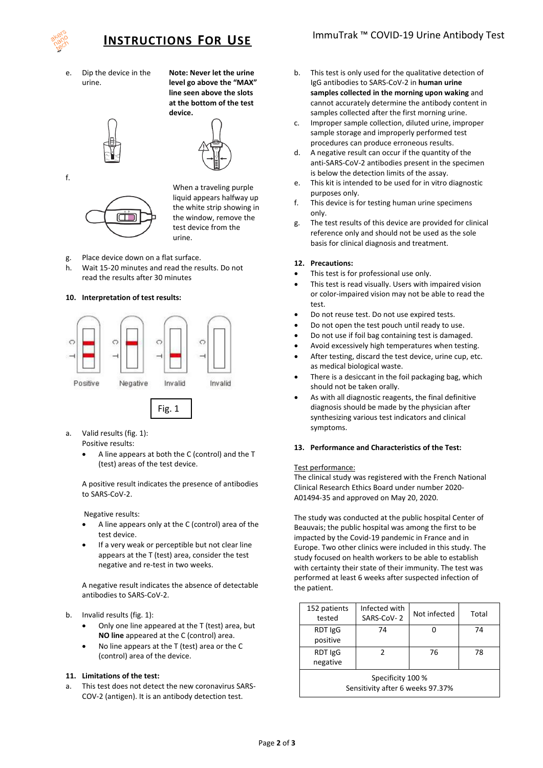

e. Dip the device in the urine.

**Note: Never let the urine level go above the "MAX" line seen above the slots at the bottom of the test device.**





When a traveling purple liquid appears halfway up the white strip showing in the window, remove the test device from the urine.

- g. Place device down on a flat surface.
- h. Wait 15-20 minutes and read the results. Do not read the results after 30 minutes

# **10. Interpretation of test results:**



- a. Valid results (fig. 1): Positive results:
	- A line appears at both the C (control) and the T (test) areas of the test device.

A positive result indicates the presence of antibodies to SARS-CoV-2.

Negative results:

- A line appears only at the C (control) area of the test device.
- If a very weak or perceptible but not clear line appears at the T (test) area, consider the test negative and re-test in two weeks.

A negative result indicates the absence of detectable antibodies to SARS-CoV-2.

- b. Invalid results (fig. 1):
	- Only one line appeared at the T (test) area, but **NO line** appeared at the C (control) area.
	- No line appears at the T (test) area or the C (control) area of the device.

## **11. Limitations of the test:**

This test does not detect the new coronavirus SARS-COV-2 (antigen). It is an antibody detection test.

- b. This test is only used for the qualitative detection of IgG antibodies to SARS-CoV-2 in **human urine samples collected in the morning upon waking** and cannot accurately determine the antibody content in samples collected after the first morning urine.
- c. Improper sample collection, diluted urine, improper sample storage and improperly performed test procedures can produce erroneous results.
- d. A negative result can occur if the quantity of the anti-SARS-CoV-2 antibodies present in the specimen is below the detection limits of the assay.
- e. This kit is intended to be used for in vitro diagnostic purposes only.
- f. This device is for testing human urine specimens only.
- g. The test results of this device are provided for clinical reference only and should not be used as the sole basis for clinical diagnosis and treatment.

### **12. Precautions:**

- This test is for professional use only.
- This test is read visually. Users with impaired vision or color-impaired vision may not be able to read the test.
- Do not reuse test. Do not use expired tests.
- Do not open the test pouch until ready to use.
- Do not use if foil bag containing test is damaged.
- Avoid excessively high temperatures when testing.
- After testing, discard the test device, urine cup, etc. as medical biological waste.
- There is a desiccant in the foil packaging bag, which should not be taken orally.
- As with all diagnostic reagents, the final definitive diagnosis should be made by the physician after synthesizing various test indicators and clinical symptoms.

### **13. Performance and Characteristics of the Test:**

### Test performance:

The clinical study was registered with the French National Clinical Research Ethics Board under number 2020- A01494-35 and approved on May 20, 2020.

The study was conducted at the public hospital Center of Beauvais; the public hospital was among the first to be impacted by the Covid-19 pandemic in France and in Europe. Two other clinics were included in this study. The study focused on health workers to be able to establish with certainty their state of their immunity. The test was performed at least 6 weeks after suspected infection of the patient.

| 152 patients<br>tested                                | Infected with<br>SARS-CoV-2 | Not infected | Total |  |
|-------------------------------------------------------|-----------------------------|--------------|-------|--|
| RDT IgG<br>positive                                   | 74                          |              | 74    |  |
| RDT IgG<br>negative                                   |                             | 76           | 78    |  |
| Specificity 100 %<br>Sensitivity after 6 weeks 97.37% |                             |              |       |  |

f.